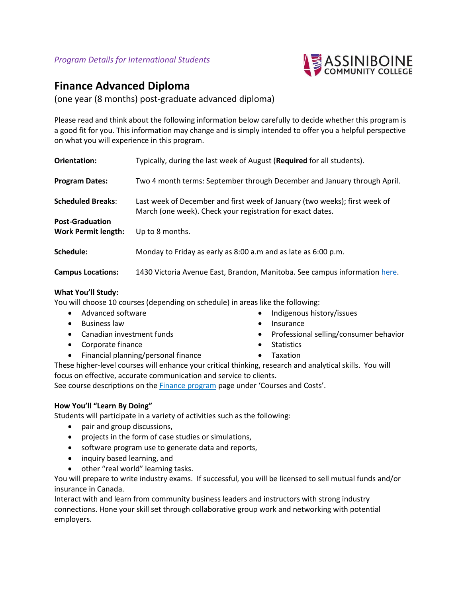

# **Finance Advanced Diploma**

(one year (8 months) post-graduate advanced diploma)

Please read and think about the following information below carefully to decide whether this program is a good fit for you. This information may change and is simply intended to offer you a helpful perspective on what you will experience in this program.

| Orientation:                                         | Typically, during the last week of August (Required for all students).                                                                   |
|------------------------------------------------------|------------------------------------------------------------------------------------------------------------------------------------------|
| <b>Program Dates:</b>                                | Two 4 month terms: September through December and January through April.                                                                 |
| <b>Scheduled Breaks:</b>                             | Last week of December and first week of January (two weeks); first week of<br>March (one week). Check your registration for exact dates. |
| <b>Post-Graduation</b><br><b>Work Permit length:</b> | Up to 8 months.                                                                                                                          |
| Schedule:                                            | Monday to Friday as early as 8:00 a.m and as late as 6:00 p.m.                                                                           |
| <b>Campus Locations:</b>                             | 1430 Victoria Avenue East, Brandon, Manitoba. See campus information here.                                                               |

### **What You'll Study:**

You will choose 10 courses (depending on schedule) in areas like the following:

- Advanced software
- Business law
- Canadian investment funds
- Corporate finance
- Financial planning/personal finance
- Indigenous history/issues
- Insurance
- Professional selling/consumer behavior
- Statistics
- Taxation

These higher-level courses will enhance your critical thinking, research and analytical skills. You will focus on effective, accurate communication and service to clients.

See course descriptions on the **Finance program** page under 'Courses and Costs'.

## **How You'll "Learn By Doing"**

Students will participate in a variety of activities such as the following:

- pair and group discussions,
- projects in the form of case studies or simulations,
- software program use to generate data and reports,
- inquiry based learning, and
- other "real world" learning tasks.

You will prepare to write industry exams. If successful, you will be licensed to sell mutual funds and/or insurance in Canada.

Interact with and learn from community business leaders and instructors with strong industry connections. Hone your skill set through collaborative group work and networking with potential employers.